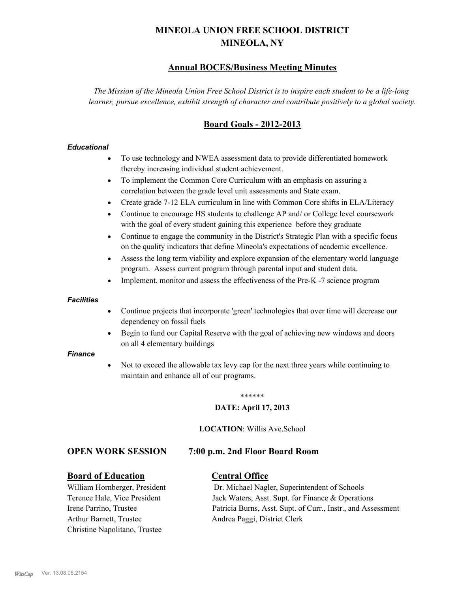# **MINEOLA UNION FREE SCHOOL DISTRICT MINEOLA, NY**

## **Annual BOCES/Business Meeting Minutes**

*The Mission of the Mineola Union Free School District is to inspire each student to be a life-long learner, pursue excellence, exhibit strength of character and contribute positively to a global society.*

# **Board Goals - 2012-2013**

## *Educational*

- · To use technology and NWEA assessment data to provide differentiated homework thereby increasing individual student achievement.
- · To implement the Common Core Curriculum with an emphasis on assuring a correlation between the grade level unit assessments and State exam.
- Create grade 7-12 ELA curriculum in line with Common Core shifts in ELA/Literacy
- Continue to encourage HS students to challenge AP and/ or College level coursework with the goal of every student gaining this experience before they graduate
- · Continue to engage the community in the District's Strategic Plan with a specific focus on the quality indicators that define Mineola's expectations of academic excellence.
- Assess the long term viability and explore expansion of the elementary world language program. Assess current program through parental input and student data.
- Implement, monitor and assess the effectiveness of the Pre-K -7 science program

#### *Facilities*

- · Continue projects that incorporate 'green' technologies that over time will decrease our dependency on fossil fuels
- Begin to fund our Capital Reserve with the goal of achieving new windows and doors on all 4 elementary buildings

#### *Finance*

Not to exceed the allowable tax levy cap for the next three years while continuing to maintain and enhance all of our programs.

#### \*\*\*\*\*\*

#### **DATE: April 17, 2013**

#### **LOCATION**: Willis Ave.School

## **OPEN WORK SESSION 7:00 p.m. 2nd Floor Board Room**

## **Board of Education Central Office**

Arthur Barnett, Trustee Andrea Paggi, District Clerk Christine Napolitano, Trustee

William Hornberger, President Dr. Michael Nagler, Superintendent of Schools Terence Hale, Vice President Jack Waters, Asst. Supt. for Finance & Operations Irene Parrino, Trustee Patricia Burns, Asst. Supt. of Curr., Instr., and Assessment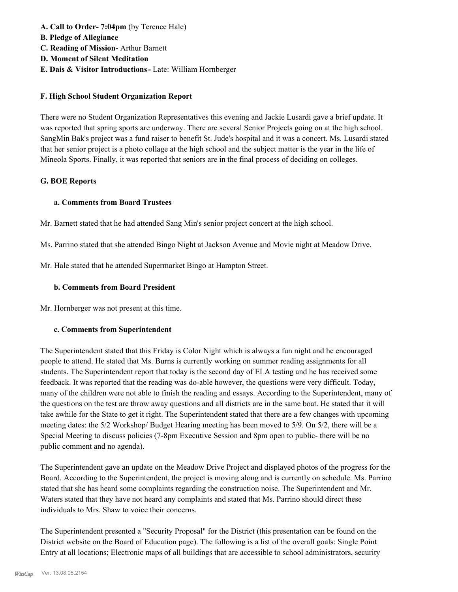- **A. Call to Order- 7:04pm** (by Terence Hale)
- **B. Pledge of Allegiance**
- **C. Reading of Mission-** Arthur Barnett
- **D. Moment of Silent Meditation**
- **E. Dais & Visitor Introductions-** Late: William Hornberger

## **F. High School Student Organization Report**

There were no Student Organization Representatives this evening and Jackie Lusardi gave a brief update. It was reported that spring sports are underway. There are several Senior Projects going on at the high school. SangMin Bak's project was a fund raiser to benefit St. Jude's hospital and it was a concert. Ms. Lusardi stated that her senior project is a photo collage at the high school and the subject matter is the year in the life of Mineola Sports. Finally, it was reported that seniors are in the final process of deciding on colleges.

## **G. BOE Reports**

## **a. Comments from Board Trustees**

Mr. Barnett stated that he had attended Sang Min's senior project concert at the high school.

Ms. Parrino stated that she attended Bingo Night at Jackson Avenue and Movie night at Meadow Drive.

Mr. Hale stated that he attended Supermarket Bingo at Hampton Street.

## **b. Comments from Board President**

Mr. Hornberger was not present at this time.

## **c. Comments from Superintendent**

The Superintendent stated that this Friday is Color Night which is always a fun night and he encouraged people to attend. He stated that Ms. Burns is currently working on summer reading assignments for all students. The Superintendent report that today is the second day of ELA testing and he has received some feedback. It was reported that the reading was do-able however, the questions were very difficult. Today, many of the children were not able to finish the reading and essays. According to the Superintendent, many of the questions on the test are throw away questions and all districts are in the same boat. He stated that it will take awhile for the State to get it right. The Superintendent stated that there are a few changes with upcoming meeting dates: the 5/2 Workshop/ Budget Hearing meeting has been moved to 5/9. On 5/2, there will be a Special Meeting to discuss policies (7-8pm Executive Session and 8pm open to public- there will be no public comment and no agenda).

The Superintendent gave an update on the Meadow Drive Project and displayed photos of the progress for the Board. According to the Superintendent, the project is moving along and is currently on schedule. Ms. Parrino stated that she has heard some complaints regarding the construction noise. The Superintendent and Mr. Waters stated that they have not heard any complaints and stated that Ms. Parrino should direct these individuals to Mrs. Shaw to voice their concerns.

The Superintendent presented a "Security Proposal" for the District (this presentation can be found on the District website on the Board of Education page). The following is a list of the overall goals: Single Point Entry at all locations; Electronic maps of all buildings that are accessible to school administrators, security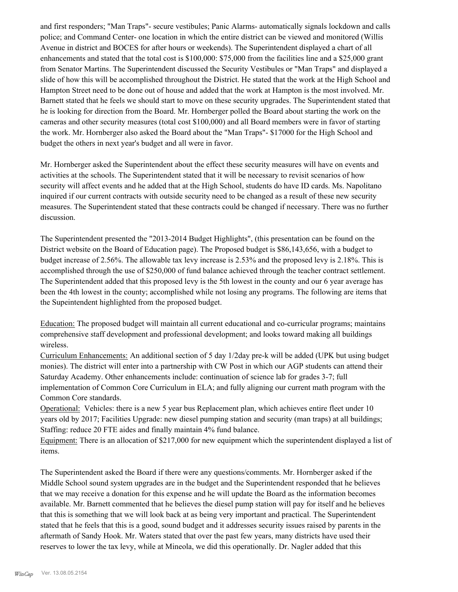and first responders; "Man Traps"- secure vestibules; Panic Alarms- automatically signals lockdown and calls police; and Command Center- one location in which the entire district can be viewed and monitored (Willis Avenue in district and BOCES for after hours or weekends). The Superintendent displayed a chart of all enhancements and stated that the total cost is \$100,000: \$75,000 from the facilities line and a \$25,000 grant from Senator Martins. The Superintendent discussed the Security Vestibules or "Man Traps" and displayed a slide of how this will be accomplished throughout the District. He stated that the work at the High School and Hampton Street need to be done out of house and added that the work at Hampton is the most involved. Mr. Barnett stated that he feels we should start to move on these security upgrades. The Superintendent stated that he is looking for direction from the Board. Mr. Hornberger polled the Board about starting the work on the cameras and other security measures (total cost \$100,000) and all Board members were in favor of starting the work. Mr. Hornberger also asked the Board about the "Man Traps"- \$17000 for the High School and budget the others in next year's budget and all were in favor.

Mr. Hornberger asked the Superintendent about the effect these security measures will have on events and activities at the schools. The Superintendent stated that it will be necessary to revisit scenarios of how security will affect events and he added that at the High School, students do have ID cards. Ms. Napolitano inquired if our current contracts with outside security need to be changed as a result of these new security measures. The Superintendent stated that these contracts could be changed if necessary. There was no further discussion.

The Superintendent presented the "2013-2014 Budget Highlights", (this presentation can be found on the District website on the Board of Education page). The Proposed budget is \$86,143,656, with a budget to budget increase of 2.56%. The allowable tax levy increase is 2.53% and the proposed levy is 2.18%. This is accomplished through the use of \$250,000 of fund balance achieved through the teacher contract settlement. The Superintendent added that this proposed levy is the 5th lowest in the county and our 6 year average has been the 4th lowest in the county; accomplished while not losing any programs. The following are items that the Supeintendent highlighted from the proposed budget.

Education: The proposed budget will maintain all current educational and co-curricular programs; maintains comprehensive staff development and professional development; and looks toward making all buildings wireless.

Curriculum Enhancements: An additional section of 5 day 1/2day pre-k will be added (UPK but using budget monies). The district will enter into a partnership with CW Post in which our AGP students can attend their Saturday Academy. Other enhancements include: continuation of science lab for grades 3-7; full implementation of Common Core Curriculum in ELA; and fully aligning our current math program with the Common Core standards.

Operational: Vehicles: there is a new 5 year bus Replacement plan, which achieves entire fleet under 10 years old by 2017; Facilities Upgrade: new diesel pumping station and security (man traps) at all buildings; Staffing: reduce 20 FTE aides and finally maintain 4% fund balance.

Equipment: There is an allocation of \$217,000 for new equipment which the superintendent displayed a list of items.

The Superintendent asked the Board if there were any questions/comments. Mr. Hornberger asked if the Middle School sound system upgrades are in the budget and the Superintendent responded that he believes that we may receive a donation for this expense and he will update the Board as the information becomes available. Mr. Barnett commented that he believes the diesel pump station will pay for itself and he believes that this is something that we will look back at as being very important and practical. The Superintendent stated that he feels that this is a good, sound budget and it addresses security issues raised by parents in the aftermath of Sandy Hook. Mr. Waters stated that over the past few years, many districts have used their reserves to lower the tax levy, while at Mineola, we did this operationally. Dr. Nagler added that this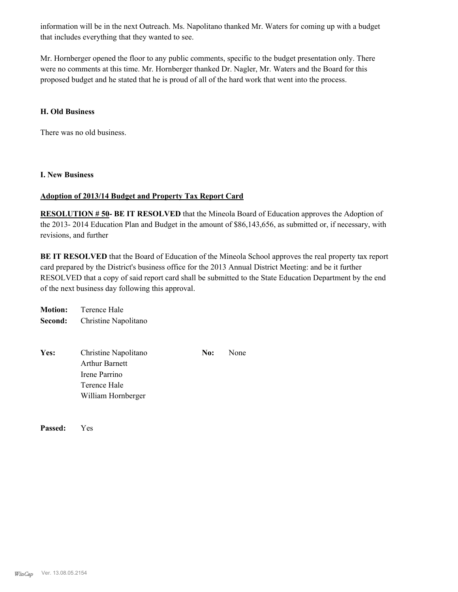information will be in the next Outreach. Ms. Napolitano thanked Mr. Waters for coming up with a budget that includes everything that they wanted to see.

Mr. Hornberger opened the floor to any public comments, specific to the budget presentation only. There were no comments at this time. Mr. Hornberger thanked Dr. Nagler, Mr. Waters and the Board for this proposed budget and he stated that he is proud of all of the hard work that went into the process.

## **H. Old Business**

There was no old business.

### **I. New Business**

## **Adoption of 2013/14 Budget and Property Tax Report Card**

**RESOLUTION # 50- BE IT RESOLVED** that the Mineola Board of Education approves the Adoption of the 2013- 2014 Education Plan and Budget in the amount of \$86,143,656, as submitted or, if necessary, with revisions, and further

**BE IT RESOLVED** that the Board of Education of the Mineola School approves the real property tax report card prepared by the District's business office for the 2013 Annual District Meeting: and be it further RESOLVED that a copy of said report card shall be submitted to the State Education Department by the end of the next business day following this approval.

| <b>Motion:</b> | Terence Hale         |
|----------------|----------------------|
| Second:        | Christine Napolitano |

| Yes: | Christine Napolitano  | No: | None |
|------|-----------------------|-----|------|
|      | <b>Arthur Barnett</b> |     |      |
|      | Irene Parrino         |     |      |
|      | Terence Hale          |     |      |
|      | William Hornberger    |     |      |

**Passed:** Yes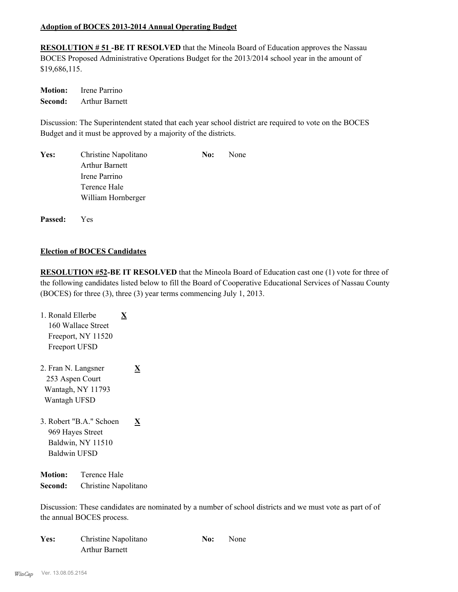## **Adoption of BOCES 2013-2014 Annual Operating Budget**

**RESOLUTION # 51 -BE IT RESOLVED** that the Mineola Board of Education approves the Nassau BOCES Proposed Administrative Operations Budget for the 2013/2014 school year in the amount of \$19,686,115.

**Motion:** Irene Parrino **Second:** Arthur Barnett

Discussion: The Superintendent stated that each year school district are required to vote on the BOCES Budget and it must be approved by a majority of the districts.

| Yes: | Christine Napolitano  | No: | None |
|------|-----------------------|-----|------|
|      | <b>Arthur Barnett</b> |     |      |
|      | Irene Parrino         |     |      |
|      | Terence Hale          |     |      |
|      | William Hornberger    |     |      |
|      |                       |     |      |

**Passed:** Yes

## **Election of BOCES Candidates**

**RESOLUTION #52-BE IT RESOLVED** that the Mineola Board of Education cast one (1) vote for three of the following candidates listed below to fill the Board of Cooperative Educational Services of Nassau County (BOCES) for three (3), three (3) year terms commencing July 1, 2013.

- 1. Ronald Ellerbe **X** 160 Wallace Street Freeport, NY 11520 Freeport UFSD
- 2. Fran N. Langsner **X** 253 Aspen Court Wantagh, NY 11793 Wantagh UFSD
- 3. Robert "B.A." Schoen **X** 969 Hayes Street Baldwin, NY 11510 Baldwin UFSD

**Motion:** Terence Hale **Second:** Christine Napolitano

Discussion: These candidates are nominated by a number of school districts and we must vote as part of of the annual BOCES process.

| Yes: | Christine Napolitano  | No: | None |
|------|-----------------------|-----|------|
|      | <b>Arthur Barnett</b> |     |      |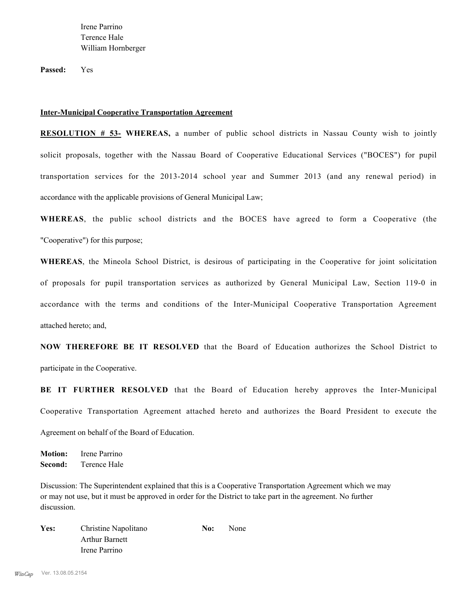Irene Parrino Terence Hale William Hornberger

**Passed:** Yes

#### **Inter-Municipal Cooperative Transportation Agreement**

**RESOLUTION # 53- WHEREAS,** a number of public school districts in Nassau County wish to jointly solicit proposals, together with the Nassau Board of Cooperative Educational Services ("BOCES") for pupil transportation services for the 2013-2014 school year and Summer 2013 (and any renewal period) in accordance with the applicable provisions of General Municipal Law;

**WHEREAS**, the public school districts and the BOCES have agreed to form a Cooperative (the "Cooperative") for this purpose;

**WHEREAS**, the Mineola School District, is desirous of participating in the Cooperative for joint solicitation of proposals for pupil transportation services as authorized by General Municipal Law, Section 119-0 in accordance with the terms and conditions of the Inter-Municipal Cooperative Transportation Agreement attached hereto; and,

**NOW THEREFORE BE IT RESOLVED** that the Board of Education authorizes the School District to participate in the Cooperative.

**BE IT FURTHER RESOLVED** that the Board of Education hereby approves the Inter-Municipal Cooperative Transportation Agreement attached hereto and authorizes the Board President to execute the Agreement on behalf of the Board of Education.

**Motion:** Irene Parrino **Second:** Terence Hale

Discussion: The Superintendent explained that this is a Cooperative Transportation Agreement which we may or may not use, but it must be approved in order for the District to take part in the agreement. No further discussion.

Yes: Christine Napolitano **No:** None Arthur Barnett Irene Parrino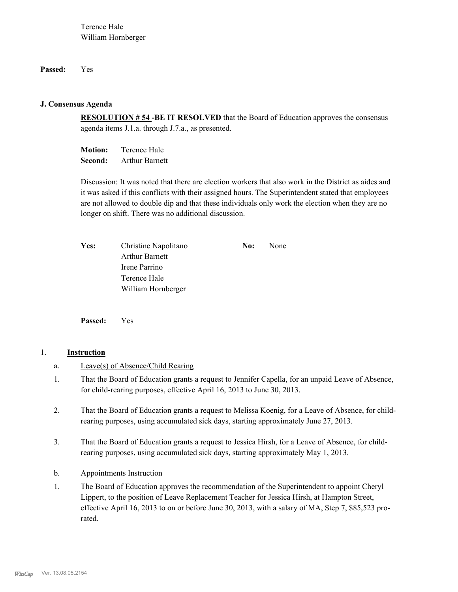## **Passed:** Yes

## **J. Consensus Agenda**

**RESOLUTION # 54 -BE IT RESOLVED** that the Board of Education approves the consensus agenda items J.1.a. through J.7.a., as presented.

**Motion:** Terence Hale **Second:** Arthur Barnett

Discussion: It was noted that there are election workers that also work in the District as aides and it was asked if this conflicts with their assigned hours. The Superintendent stated that employees are not allowed to double dip and that these individuals only work the election when they are no longer on shift. There was no additional discussion.

| <b>Yes:</b> | Christine Napolitano  | No: | None |
|-------------|-----------------------|-----|------|
|             | <b>Arthur Barnett</b> |     |      |
|             | Irene Parrino         |     |      |
|             | Terence Hale          |     |      |
|             | William Hornberger    |     |      |

**Passed:** Yes

## 1. **Instruction**

- a. Leave(s) of Absence/Child Rearing
- That the Board of Education grants a request to Jennifer Capella, for an unpaid Leave of Absence, for child-rearing purposes, effective April 16, 2013 to June 30, 2013. 1.
- That the Board of Education grants a request to Melissa Koenig, for a Leave of Absence, for childrearing purposes, using accumulated sick days, starting approximately June 27, 2013. 2.
- That the Board of Education grants a request to Jessica Hirsh, for a Leave of Absence, for childrearing purposes, using accumulated sick days, starting approximately May 1, 2013. 3.
- b. Appointments Instruction
- The Board of Education approves the recommendation of the Superintendent to appoint Cheryl Lippert, to the position of Leave Replacement Teacher for Jessica Hirsh, at Hampton Street, effective April 16, 2013 to on or before June 30, 2013, with a salary of MA, Step 7, \$85,523 prorated. 1.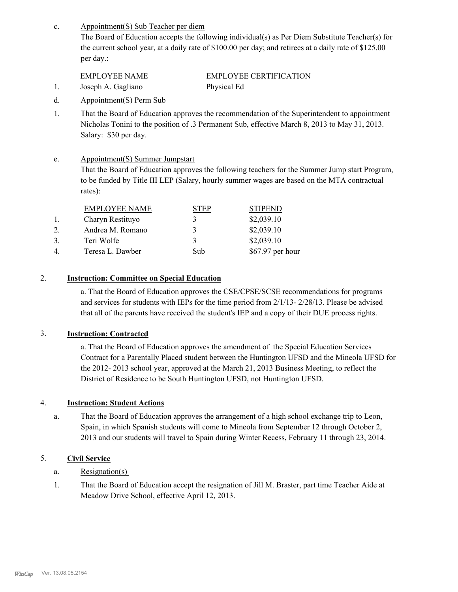Appointment(S) Sub Teacher per diem c.

> The Board of Education accepts the following individual(s) as Per Diem Substitute Teacher(s) for the current school year, at a daily rate of \$100.00 per day; and retirees at a daily rate of \$125.00 per day.:

| EMPLOYEE NAME      | <b>EMPLOYEE CERTIFICATION</b> |
|--------------------|-------------------------------|
| Joseph A. Gagliano | Physical Ed                   |

- d. Appointment(S) Perm Sub
- That the Board of Education approves the recommendation of the Superintendent to appointment Nicholas Tonini to the position of .3 Permanent Sub, effective March 8, 2013 to May 31, 2013. Salary: \$30 per day. 1.
- Appointment(S) Summer Jumpstart e.

That the Board of Education approves the following teachers for the Summer Jump start Program, to be funded by Title III LEP (Salary, hourly summer wages are based on the MTA contractual rates):

|    | <b>EMPLOYEE NAME</b> | TEP. | <b>STIPEND</b>   |
|----|----------------------|------|------------------|
|    | Charyn Restituyo     |      | \$2,039.10       |
|    | Andrea M. Romano     |      | \$2,039.10       |
| 3. | Teri Wolfe           | 3    | \$2,039.10       |
| 4. | Teresa L. Dawber     | Sub  | \$67.97 per hour |

## 2. **Instruction: Committee on Special Education**

a. That the Board of Education approves the CSE/CPSE/SCSE recommendations for programs and services for students with IEPs for the time period from 2/1/13- 2/28/13. Please be advised that all of the parents have received the student's IEP and a copy of their DUE process rights.

## 3. **Instruction: Contracted**

a. That the Board of Education approves the amendment of the Special Education Services Contract for a Parentally Placed student between the Huntington UFSD and the Mineola UFSD for the 2012- 2013 school year, approved at the March 21, 2013 Business Meeting, to reflect the District of Residence to be South Huntington UFSD, not Huntington UFSD.

## 4. **Instruction: Student Actions**

That the Board of Education approves the arrangement of a high school exchange trip to Leon, Spain, in which Spanish students will come to Mineola from September 12 through October 2, 2013 and our students will travel to Spain during Winter Recess, February 11 through 23, 2014. a.

## 5. **Civil Service**

- a. Resignation(s)
- That the Board of Education accept the resignation of Jill M. Braster, part time Teacher Aide at Meadow Drive School, effective April 12, 2013. 1.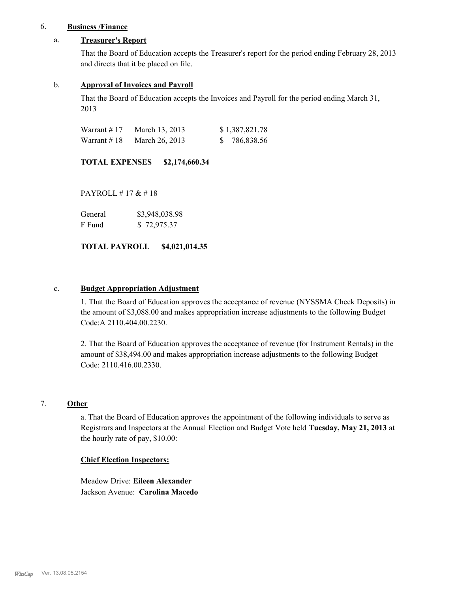## 6. **Business /Finance**

### a. **Treasurer's Report**

That the Board of Education accepts the Treasurer's report for the period ending February 28, 2013 and directs that it be placed on file.

### b. **Approval of Invoices and Payroll**

That the Board of Education accepts the Invoices and Payroll for the period ending March 31, 2013

| Warrant $\#$ 17 | March 13, 2013 | \$1,387,821.78 |
|-----------------|----------------|----------------|
| Warrant $\#$ 18 | March 26, 2013 | \$ 786,838.56  |

**TOTAL EXPENSES \$2,174,660.34**

PAYROLL # 17 & # 18

General  $$3,948,038.98$ F Fund \$ 72,975.37

**TOTAL PAYROLL \$4,021,014.35**

#### c. **Budget Appropriation Adjustment**

1. That the Board of Education approves the acceptance of revenue (NYSSMA Check Deposits) in the amount of \$3,088.00 and makes appropriation increase adjustments to the following Budget Code:A 2110.404.00.2230.

2. That the Board of Education approves the acceptance of revenue (for Instrument Rentals) in the amount of \$38,494.00 and makes appropriation increase adjustments to the following Budget Code: 2110.416.00.2330.

## 7. **Other**

a. That the Board of Education approves the appointment of the following individuals to serve as Registrars and Inspectors at the Annual Election and Budget Vote held **Tuesday, May 21, 2013** at the hourly rate of pay, \$10.00:

#### **Chief Election Inspectors:**

Meadow Drive: **Eileen Alexander**  Jackson Avenue: **Carolina Macedo**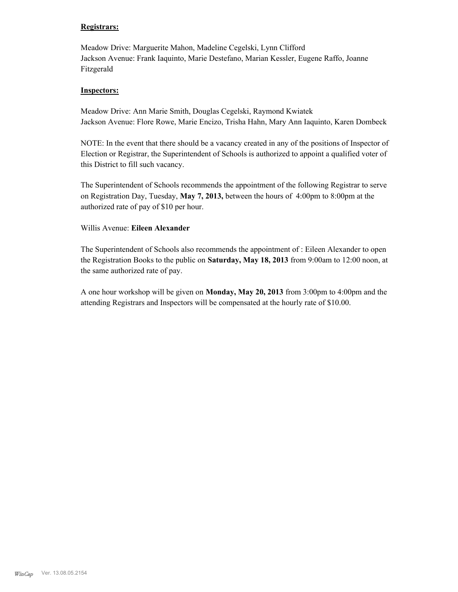## **Registrars:**

Meadow Drive: Marguerite Mahon, Madeline Cegelski, Lynn Clifford Jackson Avenue: Frank Iaquinto, Marie Destefano, Marian Kessler, Eugene Raffo, Joanne Fitzgerald

### **Inspectors:**

Meadow Drive: Ann Marie Smith, Douglas Cegelski, Raymond Kwiatek Jackson Avenue: Flore Rowe, Marie Encizo, Trisha Hahn, Mary Ann Iaquinto, Karen Dombeck

NOTE: In the event that there should be a vacancy created in any of the positions of Inspector of Election or Registrar, the Superintendent of Schools is authorized to appoint a qualified voter of this District to fill such vacancy.

The Superintendent of Schools recommends the appointment of the following Registrar to serve on Registration Day, Tuesday, **May 7, 2013,** between the hours of 4:00pm to 8:00pm at the authorized rate of pay of \$10 per hour.

### Willis Avenue: **Eileen Alexander**

The Superintendent of Schools also recommends the appointment of : Eileen Alexander to open the Registration Books to the public on **Saturday, May 18, 2013** from 9:00am to 12:00 noon, at the same authorized rate of pay.

A one hour workshop will be given on **Monday, May 20, 2013** from 3:00pm to 4:00pm and the attending Registrars and Inspectors will be compensated at the hourly rate of \$10.00.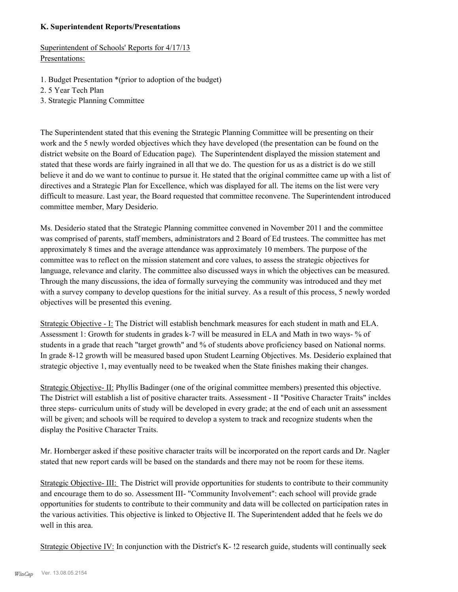### **K. Superintendent Reports/Presentations**

Superintendent of Schools' Reports for 4/17/13 Presentations:

- 1. Budget Presentation \*(prior to adoption of the budget)
- 2. 5 Year Tech Plan
- 3. Strategic Planning Committee

The Superintendent stated that this evening the Strategic Planning Committee will be presenting on their work and the 5 newly worded objectives which they have developed (the presentation can be found on the district website on the Board of Education page). The Superintendent displayed the mission statement and stated that these words are fairly ingrained in all that we do. The question for us as a district is do we still believe it and do we want to continue to pursue it. He stated that the original committee came up with a list of directives and a Strategic Plan for Excellence, which was displayed for all. The items on the list were very difficult to measure. Last year, the Board requested that committee reconvene. The Superintendent introduced committee member, Mary Desiderio.

Ms. Desiderio stated that the Strategic Planning committee convened in November 2011 and the committee was comprised of parents, staff members, administrators and 2 Board of Ed trustees. The committee has met approximately 8 times and the average attendance was approximately 10 members. The purpose of the committee was to reflect on the mission statement and core values, to assess the strategic objectives for language, relevance and clarity. The committee also discussed ways in which the objectives can be measured. Through the many discussions, the idea of formally surveying the community was introduced and they met with a survey company to develop questions for the initial survey. As a result of this process, 5 newly worded objectives will be presented this evening.

Strategic Objective - I: The District will establish benchmark measures for each student in math and ELA. Assessment 1: Growth for students in grades k-7 will be measured in ELA and Math in two ways- % of students in a grade that reach "target growth" and % of students above proficiency based on National norms. In grade 8-12 growth will be measured based upon Student Learning Objectives. Ms. Desiderio explained that strategic objective 1, may eventually need to be tweaked when the State finishes making their changes.

Strategic Objective- II: Phyllis Badinger (one of the original committee members) presented this objective. The District will establish a list of positive character traits. Assessment - II "Positive Character Traits" incldes three steps- curriculum units of study will be developed in every grade; at the end of each unit an assessment will be given; and schools will be required to develop a system to track and recognize students when the display the Positive Character Traits.

Mr. Hornberger asked if these positive character traits will be incorporated on the report cards and Dr. Nagler stated that new report cards will be based on the standards and there may not be room for these items.

Strategic Objective- III: The District will provide opportunities for students to contribute to their community and encourage them to do so. Assessment III- "Community Involvement": each school will provide grade opportunities for students to contribute to their community and data will be collected on participation rates in the various activities. This objective is linked to Objective II. The Superintendent added that he feels we do well in this area.

Strategic Objective IV: In conjunction with the District's K- !2 research guide, students will continually seek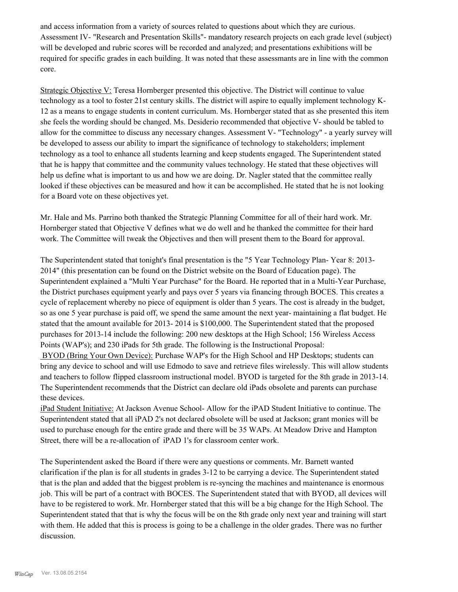and access information from a variety of sources related to questions about which they are curious. Assessment IV- "Research and Presentation Skills"- mandatory research projects on each grade level (subject) will be developed and rubric scores will be recorded and analyzed; and presentations exhibitions will be required for specific grades in each building. It was noted that these assessmants are in line with the common core.

Strategic Objective V: Teresa Hornberger presented this objective. The District will continue to value technology as a tool to foster 21st century skills. The district will aspire to equally implement technology K-12 as a means to engage students in content curriculum. Ms. Hornberger stated that as she presented this item she feels the wording should be changed. Ms. Desiderio recommended that objective V- should be tabled to allow for the committee to discuss any necessary changes. Assessment V- "Technology" - a yearly survey will be developed to assess our ability to impart the significance of technology to stakeholders; implement technology as a tool to enhance all students learning and keep students engaged. The Superintendent stated that he is happy that committee and the community values technology. He stated that these objectives will help us define what is important to us and how we are doing. Dr. Nagler stated that the committee really looked if these objectives can be measured and how it can be accomplished. He stated that he is not looking for a Board vote on these objectives yet.

Mr. Hale and Ms. Parrino both thanked the Strategic Planning Committee for all of their hard work. Mr. Hornberger stated that Objective V defines what we do well and he thanked the committee for their hard work. The Committee will tweak the Objectives and then will present them to the Board for approval.

The Superintendent stated that tonight's final presentation is the "5 Year Technology Plan- Year 8: 2013- 2014" (this presentation can be found on the District website on the Board of Education page). The Superintendent explained a "Multi Year Purchase" for the Board. He reported that in a Multi-Year Purchase, the District purchases equipment yearly and pays over 5 years via financing through BOCES. This creates a cycle of replacement whereby no piece of equipment is older than 5 years. The cost is already in the budget, so as one 5 year purchase is paid off, we spend the same amount the next year- maintaining a flat budget. He stated that the amount available for 2013- 2014 is \$100,000. The Superintendent stated that the proposed purchases for 2013-14 include the following: 200 new desktops at the High School; 156 Wireless Access Points (WAP's); and 230 iPads for 5th grade. The following is the Instructional Proposal:

 BYOD (Bring Your Own Device): Purchase WAP's for the High School and HP Desktops; students can bring any device to school and will use Edmodo to save and retrieve files wirelessly. This will allow students and teachers to follow flipped classroom instructional model. BYOD is targeted for the 8th grade in 2013-14. The Superintendent recommends that the District can declare old iPads obsolete and parents can purchase these devices.

iPad Student Initiative: At Jackson Avenue School- Allow for the iPAD Student Initiative to continue. The Superintendent stated that all iPAD 2's not declared obsolete will be used at Jackson; grant monies will be used to purchase enough for the entire grade and there will be 35 WAPs. At Meadow Drive and Hampton Street, there will be a re-allocation of iPAD 1's for classroom center work.

The Superintendent asked the Board if there were any questions or comments. Mr. Barnett wanted clarification if the plan is for all students in grades 3-12 to be carrying a device. The Superintendent stated that is the plan and added that the biggest problem is re-syncing the machines and maintenance is enormous job. This will be part of a contract with BOCES. The Superintendent stated that with BYOD, all devices will have to be registered to work. Mr. Hornberger stated that this will be a big change for the High School. The Superintendent stated that that is why the focus will be on the 8th grade only next year and training will start with them. He added that this is process is going to be a challenge in the older grades. There was no further discussion.